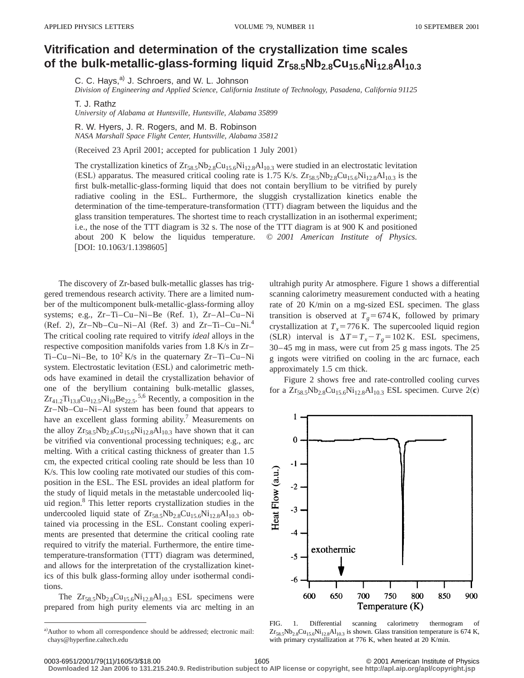## **Vitrification and determination of the crystallization time scales** of the bulk-metallic-glass-forming liquid Zr<sub>58.5</sub>Nb<sub>2.8</sub>Cu<sub>15.6</sub>Ni<sub>12.8</sub>Al<sub>10.3</sub>

C. C. Hays,<sup>a)</sup> J. Schroers, and W. L. Johnson

*Division of Engineering and Applied Science, California Institute of Technology, Pasadena, California 91125*

T. J. Rathz

*University of Alabama at Huntsville, Huntsville, Alabama 35899*

R. W. Hyers, J. R. Rogers, and M. B. Robinson *NASA Marshall Space Flight Center, Huntsville, Alabama 35812*

(Received 23 April 2001; accepted for publication 1 July 2001)

The crystallization kinetics of  $Zr_{58.5}Nb_{2.8}Cu_{15.6}Ni_{12.8}Al_{10.3}$  were studied in an electrostatic levitation (ESL) apparatus. The measured critical cooling rate is 1.75 K/s.  $Zr_{58,5}Nb_{2,8}Cu_{15,6}Ni_{12,8}Al_{10,3}$  is the first bulk-metallic-glass-forming liquid that does not contain beryllium to be vitrified by purely radiative cooling in the ESL. Furthermore, the sluggish crystallization kinetics enable the determination of the time-temperature-transformation (TTT) diagram between the liquidus and the glass transition temperatures. The shortest time to reach crystallization in an isothermal experiment; i.e., the nose of the TTT diagram is 32 s. The nose of the TTT diagram is at 900 K and positioned about 200 K below the liquidus temperature. © *2001 American Institute of Physics.*  $[DOI: 10.1063/1.1398605]$ 

The discovery of Zr-based bulk-metallic glasses has triggered tremendous research activity. There are a limited number of the multicomponent bulk-metallic-glass-forming alloy systems; e.g., Zr-Ti-Cu-Ni-Be (Ref. 1), Zr-Al-Cu-Ni  $(Ref. 2)$ , Zr–Nb–Cu–Ni–Al  $(Ref. 3)$  and Zr–Ti–Cu–Ni.<sup>4</sup> The critical cooling rate required to vitrify *ideal* alloys in the respective composition manifolds varies from 1.8 K/s in Zr– Ti–Cu–Ni–Be, to  $10^2$  K/s in the quaternary Zr–Ti–Cu–Ni system. Electrostatic levitation (ESL) and calorimetric methods have examined in detail the crystallization behavior of one of the beryllium containing bulk-metallic glasses,  $\text{Zr}_{41.2}\text{Ti}_{13.8}\text{Cu}_{12.5}\text{Ni}_{10}\text{Be}_{22.5}$ ,  $^{5,6}$  Recently, a composition in the Zr–Nb–Cu–Ni–Al system has been found that appears to have an excellent glass forming ability.<sup>7</sup> Measurements on the alloy  $Zr_{58.5}Nb_{2.8}Cu_{15.6}Ni_{12.8}Al_{10.3}$  have shown that it can be vitrified via conventional processing techniques; e.g., arc melting. With a critical casting thickness of greater than 1.5 cm, the expected critical cooling rate should be less than 10 K/s. This low cooling rate motivated our studies of this composition in the ESL. The ESL provides an ideal platform for the study of liquid metals in the metastable undercooled liquid region.8 This letter reports crystallization studies in the undercooled liquid state of  $Zr_{58.5}Nb_{2.8}Cu_{15.6}Ni_{12.8}Al_{10.3}$  obtained via processing in the ESL. Constant cooling experiments are presented that determine the critical cooling rate required to vitrify the material. Furthermore, the entire timetemperature-transformation (TTT) diagram was determined, and allows for the interpretation of the crystallization kinetics of this bulk glass-forming alloy under isothermal conditions.

The  $Zr_{58.5}Nb_{2.8}Cu_{15.6}Ni_{12.8}Al_{10.3}$  ESL specimens were prepared from high purity elements via arc melting in an ultrahigh purity Ar atmosphere. Figure 1 shows a differential scanning calorimetry measurement conducted with a heating rate of 20 K/min on a mg-sized ESL specimen. The glass transition is observed at  $T_g$ =674 K, followed by primary crystallization at  $T_x = 776$  K. The supercooled liquid region (SLR) interval is  $\Delta T = T_x - T_g = 102$  K. ESL specimens, 30–45 mg in mass, were cut from 25 g mass ingots. The 25 g ingots were vitrified on cooling in the arc furnace, each approximately 1.5 cm thick.

Figure 2 shows free and rate-controlled cooling curves for a  $Zr_{58.5}Nb_{2.8}Cu_{15.6}Ni_{12.8}Al_{10.3}$  ESL specimen. Curve  $2(**c**)$ 



FIG. 1. Differential scanning calorimetry thermogram of  $Zr_{58.5}Nb_{2.8}Cu_{15.6}Ni_{12.8}Al_{10.3}$  is shown. Glass transition temperature is 674 K, with primary crystallization at 776 K, when heated at 20 K/min.

**Downloaded 12 Jan 2006 to 131.215.240.9. Redistribution subject to AIP license or copyright, see http://apl.aip.org/apl/copyright.jsp**

a)Author to whom all correspondence should be addressed; electronic mail: chays@hyperfine.caltech.edu

<sup>0003-6951/2001/79(11)/1605/3/\$18.00 1605 1605 1605 2001</sup> American Institute of Physics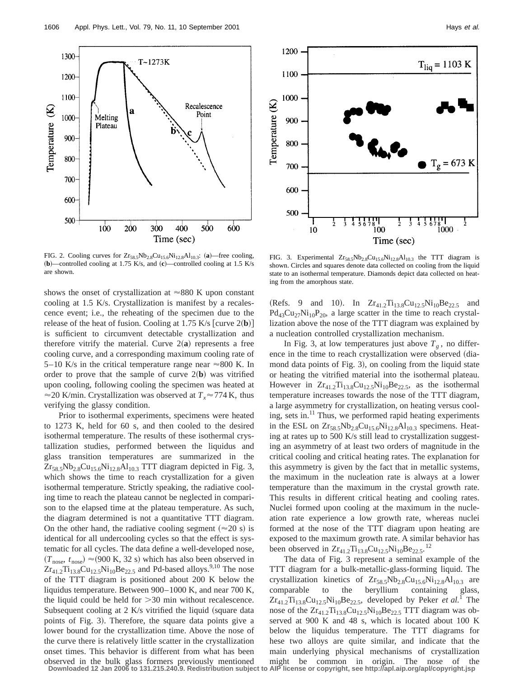1606 Appl. Phys. Lett., Vol. 79, No. 11, 10 September 2001 **Hays et al.** All and the set al.

FIG. 2. Cooling curves for  $Zr_{58.5}Nb_{2.8}Cu_{15.6}Ni_{12.8}Al_{10.3}$ : (a)—free cooling, ~**b**!—controlled cooling at 1.75 K/s, and ~**c**!—controlled cooling at 1.5 K/s are shown.

shows the onset of crystallization at  $\approx 880$  K upon constant cooling at 1.5 K/s. Crystallization is manifest by a recalescence event; i.e., the reheating of the specimen due to the release of the heat of fusion. Cooling at 1.75 K/s  $[curve 2(**b**)]$ is sufficient to circumvent detectable crystallization and therefore vitrify the material. Curve  $2(a)$  represents a free cooling curve, and a corresponding maximum cooling rate of 5–10 K/s in the critical temperature range near  $\approx$ 800 K. In order to prove that the sample of curve  $2(**b**)$  was vitrified upon cooling, following cooling the specimen was heated at  $\approx$  20 K/min. Crystallization was observed at  $T_x \approx 774$  K, thus verifying the glassy condition.

Prior to isothermal experiments, specimens were heated to 1273 K, held for 60 s, and then cooled to the desired isothermal temperature. The results of these isothermal crystallization studies, performed between the liquidus and glass transition temperatures are summarized in the  $Zr_{58.5}Nb_{2.8}Cu_{15.6}Ni_{12.8}Al_{10.3}TTT$  diagram depicted in Fig. 3, which shows the time to reach crystallization for a given isothermal temperature. Strictly speaking, the radiative cooling time to reach the plateau cannot be neglected in comparison to the elapsed time at the plateau temperature. As such, the diagram determined is not a quantitative TTT diagram. On the other hand, the radiative cooling segment  $(\approx 20 \text{ s})$  is identical for all undercooling cycles so that the effect is systematic for all cycles. The data define a well-developed nose,  $(T_{\text{nose}}, t_{\text{nose}}) \approx (900 \text{ K}, 32 \text{ s})$  which has also been observed in  $Zr_{41.2}Ti_{13.8}Cu_{12.5}Ni_{10}Be_{22.5}$  and Pd-based alloys.<sup>9,10</sup> The nose of the TTT diagram is positioned about 200 K below the liquidus temperature. Between 900–1000 K, and near 700 K, the liquid could be held for  $>30$  min without recalescence. Subsequent cooling at  $2$  K/s vitrified the liquid (square data points of Fig. 3). Therefore, the square data points give a lower bound for the crystallization time. Above the nose of the curve there is relatively little scatter in the crystallization onset times. This behavior is different from what has been observed in the bulk glass formers previously mentioned

FIG. 3. Experimental  $Zr_{58.5}Nb_{2.8}Cu_{15.6}Ni_{12.8}Al_{10.3}$  the TTT diagram is shown. Circles and squares denote data collected on cooling from the liquid state to an isothermal temperature. Diamonds depict data collected on heating from the amorphous state.

(Refs. 9 and 10). In  $Zr_{41.2}Ti_{13.8}Cu_{12.5}Ni_{10}Be_{22.5}$  and  $Pd_{43}Cu_{27}Ni_{10}P_{20}$ , a large scatter in the time to reach crystallization above the nose of the TTT diagram was explained by a nucleation controlled crystallization mechanism.

In Fig. 3, at low temperatures just above  $T_g$ , no difference in the time to reach crystallization were observed (diamond data points of Fig. 3), on cooling from the liquid state or heating the vitrified material into the isothermal plateau. However in  $Zr_{41.2}Ti_{13.8}Cu_{12.5}Ni_{10}Be_{22.5}$ , as the isothermal temperature increases towards the nose of the TTT diagram, a large asymmetry for crystallization, on heating versus cooling, sets in.<sup>11</sup> Thus, we performed rapid heating experiments in the ESL on  $Zr_{58.5}Nb_{2.8}Cu_{15.6}Ni_{12.8}Al_{10.3}$  specimens. Heating at rates up to 500 K/s still lead to crystallization suggesting an asymmetry of at least two orders of magnitude in the critical cooling and critical heating rates. The explanation for this asymmetry is given by the fact that in metallic systems, the maximum in the nucleation rate is always at a lower temperature than the maximum in the crystal growth rate. This results in different critical heating and cooling rates. Nuclei formed upon cooling at the maximum in the nucleation rate experience a low growth rate, whereas nuclei formed at the nose of the TTT diagram upon heating are exposed to the maximum growth rate. A similar behavior has been observed in  $Zr_{41.2}Ti_{13.8}Cu_{12.5}Ni_{10}Be_{22.5}$ .<sup>12</sup>

The data of Fig. 3 represent a seminal example of the TTT diagram for a bulk-metallic-glass-forming liquid. The crystallization kinetics of  $Zr_{58,5}Nb_{2.8}Cu_{15.6}Ni_{12.8}Al_{10.3}$  are comparable to the beryllium containing glass,  $Zr_{41.2}Ti_{13.8}Cu_{12.5}Ni_{10}Be_{22.5}$ , developed by Peker *et al.*<sup>1</sup> The nose of the  $Zr_{41.2}Ti_{13.8}Cu_{12.5}Ni_{10}Be_{22.5} TTT$  diagram was observed at 900 K and 48 s, which is located about 100 K below the liquidus temperature. The TTT diagrams for hese two alloys are quite similar, and indicate that the main underlying physical mechanisms of crystallization might be common in origin. The nose of the

**Downloaded 12 Jan 2006 to 131.215.240.9. Redistribution subject to AIP license or copyright, see http://apl.aip.org/apl/copyright.jsp**